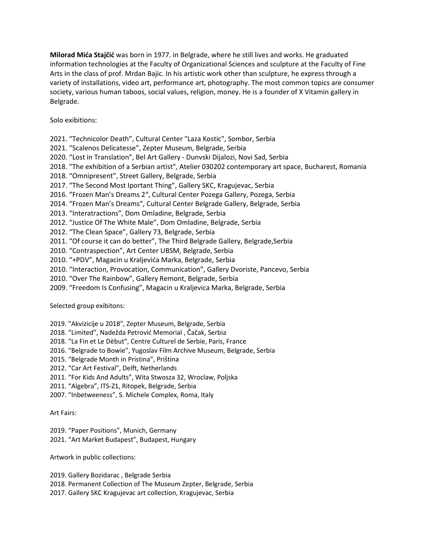Milorad Mića Stajčić was born in 1977. in Belgrade, where he still lives and works. He graduated information technologies at the Faculty of Organizational Sciences and sculpture at the Faculty of Fine Arts in the class of prof. Mrdan Bajic. In his artistic work other than sculpture, he express through a variety of installations, video art, performance art, photography. The most common topics are consumer society, various human taboos, social values, religion, money. He is a founder of X Vitamin gallery in Belgrade.

Solo exibitions:

2021. "Technicolor Death", Cultural Center "Laza Kostic", Sombor, Serbia

2021. "Scalenos Delicatesse", Zepter Museum, Belgrade, Serbia

2020. "Lost in Translation", Bel Art Gallery - Dunvski Dijalozi, Novi Sad, Serbia

2018. "The exhibition of a Serbian artist", Atelier 030202 contemporary art space, Bucharest, Romania

2018. "Omnipresent", Street Gallery, Belgrade, Serbia

2017. "The Second Most Iportant Thing", Gallery SKC, Kragujevac, Serbia

2016. "Frozen Man's Dreams 2", Cultural Center Pozega Gallery, Pozega, Serbia

2014. "Frozen Man's Dreams", Cultural Center Belgrade Gallery, Belgrade, Serbia

2013. "Interatractions", Dom Omladine, Belgrade, Serbia

2012. "Justice Of The White Male", Dom Omladine, Belgrade, Serbia

2012. "The Clean Space", Gallery 73, Belgrade, Serbia

2011. "Of course it can do better", The Third Belgrade Gallery, Belgrade, Serbia

2010. "Contraspection", Art Center UBSM, Belgrade, Serbia

2010. "+PDV", Magacin u Kraljevića Marka, Belgrade, Serbia

2010. "Interaction, Provocation, Communication", Gallery Dvoriste, Pancevo, Serbia

2010. "Over The Rainbow", Gallery Remont, Belgrade, Serbia

2009. "Freedom Is Confusing", Magacin u Kraljevica Marka, Belgrade, Serbia

Selected group exibitons:

2019. "Akvizicije u 2018", Zepter Museum, Belgrade, Serbia

2018. "Limited", Nadežda Petrović Memorial , Čačak, Serbia

2018. "La Fin et Le Dèbut", Centre Culturel de Serbie, Paris, France

2016. "Belgrade to Bowie", Yugoslav Film Archive Museum, Belgrade, Serbia

2015. "Belgrade Month in Pristina", Priština

2012. "Car Art Festival", Delft, Netherlands

2011. "For Kids And Adults", Wita Stwosza 32, Wroclaw, Poljska

2011. "Algebra", ITS-Z1, Ritopek, Belgrade, Serbia

2007. "Inbetweeness", S. Michele Complex, Roma, Italy

Art Fairs:

2019. "Paper Positions", Munich, Germany 2021. "Art Market Budapest", Budapest, Hungary

Artwork in public collections:

2019. Gallery Bozidarac , Belgrade Serbia 2018. Permanent Collection of The Museum Zepter, Belgrade, Serbia 2017. Gallery SKC Kragujevac art collection, Kragujevac, Serbia